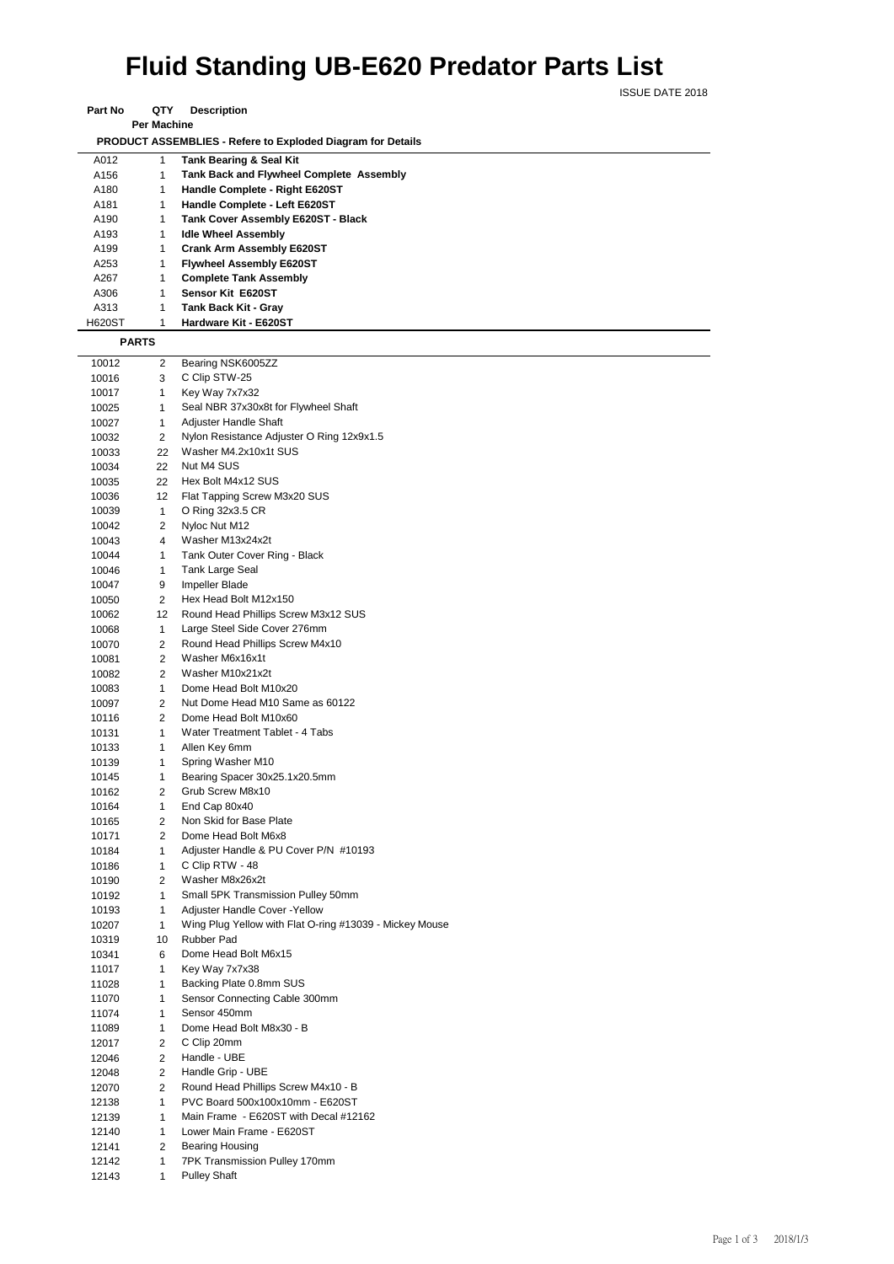## **Fluid Standing UB-E620 Predator Parts List**

ISSUE DATE 2018

| <b>Per Machine</b>                                                 |      |  |                                                 |  |  |
|--------------------------------------------------------------------|------|--|-------------------------------------------------|--|--|
| <b>PRODUCT ASSEMBLIES - Refere to Exploded Diagram for Details</b> |      |  |                                                 |  |  |
|                                                                    | A012 |  | <b>Tank Bearing &amp; Seal Kit</b>              |  |  |
|                                                                    | A156 |  | <b>Tank Back and Flywheel Complete Assembly</b> |  |  |
|                                                                    | A180 |  | Handle Complete - Right E620ST                  |  |  |
|                                                                    | A181 |  | Handle Complete - Left E620ST                   |  |  |
|                                                                    | A190 |  | Tank Cover Assembly E620ST - Black              |  |  |
|                                                                    | .    |  |                                                 |  |  |

A193 1 **Idle Wheel Assembly** A199 1 **Crank Arm Assembly E620ST** A253 1 **Flywheel Assembly E620ST**

H620ST 1 **Hardware Kit - E620ST**

A267 1 **Complete Tank Assembly** A306 1 **Sensor Kit E620ST** A313 1 **Tank Back Kit - Gray**<br>H620ST 1 **Hardware Kit - E620S** 

**Part No QTY Description** 

|       | PARTS        |                                                         |
|-------|--------------|---------------------------------------------------------|
| 10012 | 2            | Bearing NSK6005ZZ                                       |
| 10016 | 3            | C Clip STW-25                                           |
| 10017 | 1            | Key Way 7x7x32                                          |
| 10025 | 1            | Seal NBR 37x30x8t for Flywheel Shaft                    |
| 10027 | 1            | Adjuster Handle Shaft                                   |
| 10032 | 2            | Nylon Resistance Adjuster O Ring 12x9x1.5               |
| 10033 | 22           | Washer M4.2x10x1t SUS                                   |
| 10034 | 22           | Nut M4 SUS                                              |
| 10035 | 22           | Hex Bolt M4x12 SUS                                      |
| 10036 | 12           | Flat Tapping Screw M3x20 SUS                            |
| 10039 | $\mathbf{1}$ | O Ring 32x3.5 CR                                        |
| 10042 | 2            | Nyloc Nut M12                                           |
| 10043 | 4            | Washer M13x24x2t                                        |
| 10044 | 1            | Tank Outer Cover Ring - Black                           |
| 10046 | $\mathbf{1}$ | Tank Large Seal                                         |
| 10047 | 9            | Impeller Blade                                          |
| 10050 | 2            | Hex Head Bolt M12x150                                   |
| 10062 | 12           | Round Head Phillips Screw M3x12 SUS                     |
| 10068 | 1            | Large Steel Side Cover 276mm                            |
| 10070 | 2            | Round Head Phillips Screw M4x10                         |
| 10081 | 2            | Washer M6x16x1t                                         |
| 10082 | 2            | Washer M10x21x2t                                        |
| 10083 | $\mathbf{1}$ | Dome Head Bolt M10x20                                   |
| 10097 | 2            | Nut Dome Head M10 Same as 60122                         |
| 10116 | 2            | Dome Head Bolt M10x60                                   |
| 10131 | 1            | Water Treatment Tablet - 4 Tabs                         |
| 10133 | 1            | Allen Key 6mm                                           |
| 10139 | 1            | Spring Washer M10                                       |
| 10145 | 1            | Bearing Spacer 30x25.1x20.5mm                           |
| 10162 | 2            | Grub Screw M8x10                                        |
| 10164 | 1            | End Cap 80x40                                           |
| 10165 | 2            | Non Skid for Base Plate                                 |
| 10171 | 2            | Dome Head Bolt M6x8                                     |
| 10184 | 1            | Adjuster Handle & PU Cover P/N #10193                   |
| 10186 | 1            | C Clip RTW - 48                                         |
| 10190 | 2            | Washer M8x26x2t                                         |
| 10192 | $\mathbf{1}$ | Small 5PK Transmission Pulley 50mm                      |
| 10193 | 1            | Adjuster Handle Cover - Yellow                          |
| 10207 | 1            | Wing Plug Yellow with Flat O-ring #13039 - Mickey Mouse |
| 10319 | 10           | <b>Rubber Pad</b>                                       |
| 10341 | 6            | Dome Head Bolt M6x15                                    |
| 11017 | 1            | Key Way 7x7x38                                          |
| 11028 | 1            | Backing Plate 0.8mm SUS                                 |
| 11070 | 1            | Sensor Connecting Cable 300mm                           |
| 11074 | 1            | Sensor 450mm                                            |
| 11089 | 1            | Dome Head Bolt M8x30 - B                                |
| 12017 | 2            | C Clip 20mm                                             |
| 12046 | 2            | Handle - UBE                                            |
| 12048 | 2            | Handle Grip - UBE                                       |
| 12070 | 2            | Round Head Phillips Screw M4x10 - B                     |
| 12138 | 1            | PVC Board 500x100x10mm - E620ST                         |
| 12139 | 1            | Main Frame - E620ST with Decal #12162                   |
| 12140 | 1            | Lower Main Frame - E620ST                               |
| 12141 | 2            | <b>Bearing Housing</b>                                  |
| 12142 | 1            | 7PK Transmission Pulley 170mm                           |
| 12143 | 1            | <b>Pulley Shaft</b>                                     |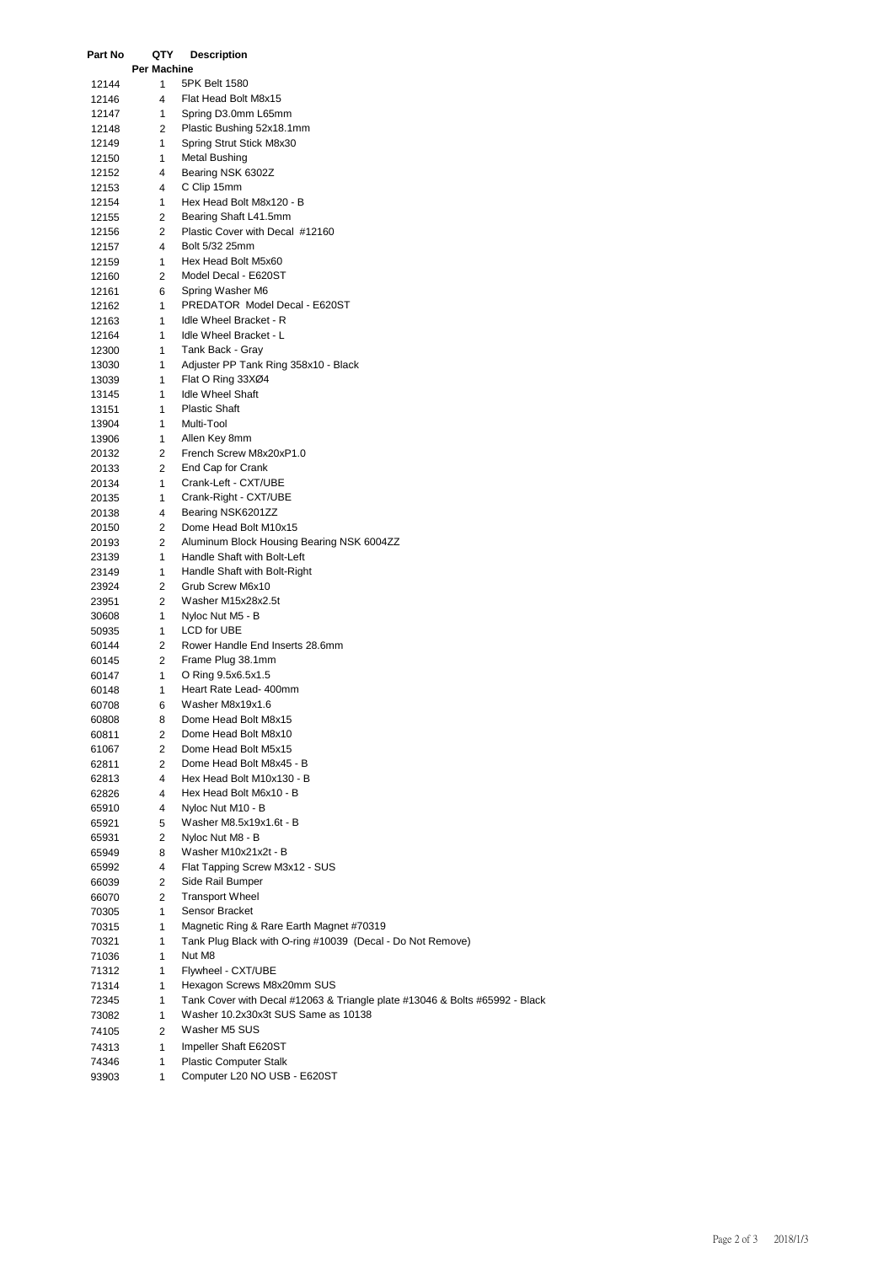| Part No        | QTY<br><b>Per Machine</b> | <b>Description</b>                                                          |
|----------------|---------------------------|-----------------------------------------------------------------------------|
| 12144          | 1                         | 5PK Belt 1580                                                               |
| 12146          | 4                         | Flat Head Bolt M8x15                                                        |
| 12147          | 1                         | Spring D3.0mm L65mm                                                         |
| 12148          | 2                         | Plastic Bushing 52x18.1mm                                                   |
| 12149          | 1.                        | Spring Strut Stick M8x30                                                    |
|                | $\mathbf{1}$              | Metal Bushing                                                               |
| 12150          | 4                         |                                                                             |
| 12152          |                           | Bearing NSK 6302Z<br>C Clip 15mm                                            |
| 12153          | 4                         |                                                                             |
| 12154          | 1.                        | Hex Head Bolt M8x120 - B                                                    |
| 12155          | 2                         | Bearing Shaft L41.5mm                                                       |
| 12156          | 2<br>4                    | Plastic Cover with Decal #12160<br>Bolt 5/32 25mm                           |
| 12157          | 1                         | Hex Head Bolt M5x60                                                         |
| 12159          | 2                         | Model Decal - E620ST                                                        |
| 12160          |                           | Spring Washer M6                                                            |
| 12161<br>12162 | 6<br>1.                   | PREDATOR Model Decal - E620ST                                               |
|                | 1                         | Idle Wheel Bracket - R                                                      |
| 12163          | $\mathbf{1}$              | Idle Wheel Bracket - L                                                      |
| 12164          |                           | Tank Back - Gray                                                            |
| 12300          | 1.<br>1                   | Adjuster PP Tank Ring 358x10 - Black                                        |
| 13030          | 1                         |                                                                             |
| 13039          |                           | Flat O Ring 33XØ4<br><b>Idle Wheel Shaft</b>                                |
| 13145          | 1<br>$\mathbf{1}$         | <b>Plastic Shaft</b>                                                        |
| 13151          | $\mathbf{1}$              | Multi-Tool                                                                  |
| 13904          |                           | Allen Key 8mm                                                               |
| 13906          | 1                         | French Screw M8x20xP1.0                                                     |
| 20132          | $\overline{2}$            | End Cap for Crank                                                           |
| 20133          | 2<br>$\mathbf{1}$         |                                                                             |
| 20134          |                           | Crank-Left - CXT/UBE<br>Crank-Right - CXT/UBE                               |
| 20135          | 1                         | Bearing NSK6201ZZ                                                           |
| 20138          | 4<br>2                    | Dome Head Bolt M10x15                                                       |
| 20150          | 2                         |                                                                             |
| 20193          |                           | Aluminum Block Housing Bearing NSK 6004ZZ<br>Handle Shaft with Bolt-Left    |
| 23139          | 1                         |                                                                             |
| 23149          | 1                         | Handle Shaft with Bolt-Right                                                |
| 23924          | 2                         | Grub Screw M6x10                                                            |
| 23951          | 2                         | Washer M15x28x2.5t                                                          |
| 30608          | 1                         | Nyloc Nut M5 - B<br>LCD for UBE                                             |
| 50935          | $\mathbf{1}$<br>2         | Rower Handle End Inserts 28.6mm                                             |
| 60144<br>60145 | 2                         | Frame Plug 38.1mm                                                           |
| 60147          | 1                         | O Ring 9.5x6.5x1.5                                                          |
|                | 1                         | Heart Rate Lead- 400mm                                                      |
| 60148<br>60708 | 6                         | Washer M8x19x1.6                                                            |
|                |                           | Dome Head Bolt M8x15                                                        |
| 60808          | 8<br>2                    | Dome Head Bolt M8x10                                                        |
| 60811          | 2                         | Dome Head Bolt M5x15                                                        |
| 61067<br>62811 | 2                         | Dome Head Bolt M8x45 - B                                                    |
| 62813          | 4                         | Hex Head Bolt M10x130 - B                                                   |
| 62826          | 4                         | Hex Head Bolt M6x10 - B                                                     |
| 65910          | 4                         | Nyloc Nut M10 - B                                                           |
| 65921          | 5                         | Washer M8.5x19x1.6t - B                                                     |
| 65931          | 2                         | Nyloc Nut M8 - B                                                            |
| 65949          | 8                         | Washer M10x21x2t - B                                                        |
| 65992          | 4                         | Flat Tapping Screw M3x12 - SUS                                              |
| 66039          | 2                         | Side Rail Bumper                                                            |
| 66070          | 2                         | <b>Transport Wheel</b>                                                      |
| 70305          | 1                         | Sensor Bracket                                                              |
| 70315          | 1                         | Magnetic Ring & Rare Earth Magnet #70319                                    |
| 70321          | 1                         | Tank Plug Black with O-ring #10039 (Decal - Do Not Remove)                  |
| 71036          | 1                         | Nut M8                                                                      |
| 71312          | 1                         | Flywheel - CXT/UBE                                                          |
| 71314          | 1                         | Hexagon Screws M8x20mm SUS                                                  |
| 72345          | 1                         | Tank Cover with Decal #12063 & Triangle plate #13046 & Bolts #65992 - Black |
| 73082          | 1                         | Washer 10.2x30x3t SUS Same as 10138                                         |
|                |                           | Washer M5 SUS                                                               |
| 74105          | 2                         |                                                                             |
| 74313          | 1                         | Impeller Shaft E620ST                                                       |
| 74346          | 1                         | <b>Plastic Computer Stalk</b>                                               |
| 93903          | 1                         | Computer L20 NO USB - E620ST                                                |